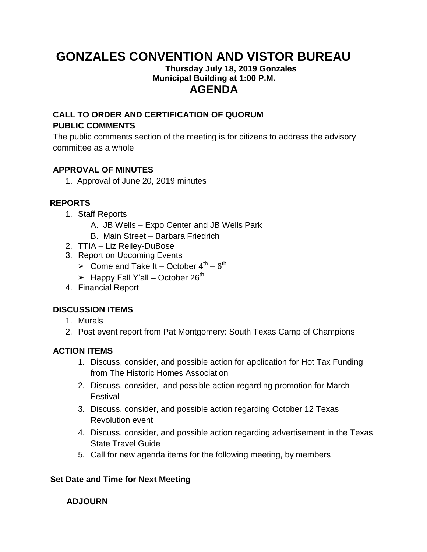# **GONZALES CONVENTION AND VISTOR BUREAU**

#### **Thursday July 18, 2019 Gonzales Municipal Building at 1:00 P.M. AGENDA**

# **CALL TO ORDER AND CERTIFICATION OF QUORUM PUBLIC COMMENTS**

The public comments section of the meeting is for citizens to address the advisory committee as a whole

## **APPROVAL OF MINUTES**

1. Approval of June 20, 2019 minutes

# **REPORTS**

- 1. Staff Reports
	- A. JB Wells Expo Center and JB Wells Park
	- B. Main Street Barbara Friedrich
- 2. TTIA Liz Reiley-DuBose
- 3. Report on Upcoming Events
	- $\triangleright$  Come and Take It October 4<sup>th</sup> 6<sup>th</sup>
	- $\blacktriangleright$  Happy Fall Y'all October 26<sup>th</sup>
- 4. Financial Report

### **DISCUSSION ITEMS**

- 1. Murals
- 2. Post event report from Pat Montgomery: South Texas Camp of Champions

### **ACTION ITEMS**

- 1. Discuss, consider, and possible action for application for Hot Tax Funding from The Historic Homes Association
- 2. Discuss, consider, and possible action regarding promotion for March Festival
- 3. Discuss, consider, and possible action regarding October 12 Texas Revolution event
- 4. Discuss, consider, and possible action regarding advertisement in the Texas State Travel Guide
- 5. Call for new agenda items for the following meeting, by members

### **Set Date and Time for Next Meeting**

### **ADJOURN**